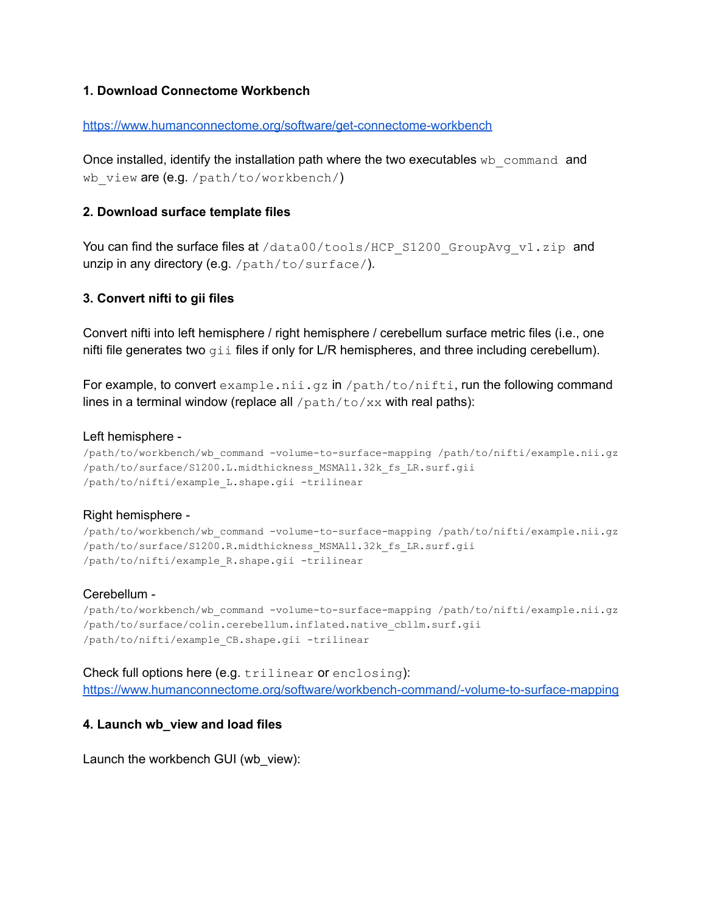## **1. Download Connectome Workbench**

### <https://www.humanconnectome.org/software/get-connectome-workbench>

Once installed, identify the installation path where the two executables  $wb$  command and wb view are (e.g. /path/to/workbench/)

### **2. Download surface template files**

You can find the surface files at /data00/tools/HCP\_S1200\_GroupAvg\_v1.zip\_and unzip in any directory (e.g. /path/to/surface/).

### **3. Convert nifti to gii files**

Convert nifti into left hemisphere / right hemisphere / cerebellum surface metric files (i.e., one nifti file generates two  $\sigma$ i files if only for L/R hemispheres, and three including cerebellum).

For example, to convert example.nii.gz in /path/to/nifti, run the following command lines in a terminal window (replace all  $/\text{path/to}/\text{xx}$  with real paths):

#### Left hemisphere -

```
/path/to/workbench/wb_command -volume-to-surface-mapping /path/to/nifti/example.nii.gz
/path/to/surface/S1200.L.midthickness_MSMAll.32k_fs_LR.surf.gii
/path/to/nifti/example_L.shape.gii -trilinear
```
### Right hemisphere -

```
/path/to/workbench/wb_command -volume-to-surface-mapping /path/to/nifti/example.nii.gz
/path/to/surface/S1200.R.midthickness_MSMAll.32k_fs_LR.surf.gii
/path/to/nifti/example_R.shape.gii -trilinear
```
### Cerebellum -

/path/to/workbench/wb\_command -volume-to-surface-mapping /path/to/nifti/example.nii.gz /path/to/surface/colin.cerebellum.inflated.native\_cbllm.surf.gii /path/to/nifti/example\_CB.shape.gii -trilinear

#### Check full options here (e.g. trilinear or enclosing):

<https://www.humanconnectome.org/software/workbench-command/-volume-to-surface-mapping>

### **4. Launch wb\_view and load files**

Launch the workbench GUI (wb\_view):